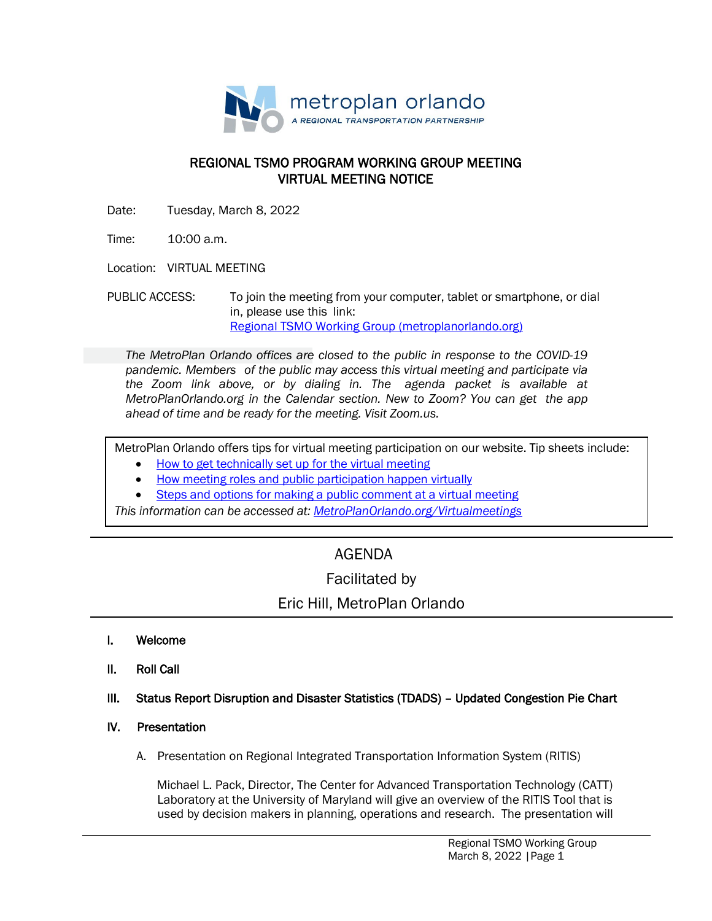

### REGIONAL TSMO PROGRAM WORKING GROUP MEETING VIRTUAL MEETING NOTICE

Date: Tuesday, March 8, 2022

Time: 10:00 a.m.

Location: VIRTUAL MEETING

PUBLIC ACCESS: To join the meeting from your computer, tablet or smartphone, or dial in, please use this link: [Regional TSMO Working Group \(metroplanorlando.org\)](https://metroplanorlando.org/meetings/regional-tsmo-working-group-03-08-22/)

*The MetroPlan Orlando offices are closed to the public in response to the COVID-19 pandemic. Members of the public may access this virtual meeting and participate via the Zoom link above, or by dialing in. The agenda packet is available at MetroPlanOrlando.org in the Calendar section. New to Zoom? You can get the app ahead of time and be ready for the meeting. Visit Zoom.us.*

MetroPlan Orlando offers tips for virtual meeting participation on our website. Tip sheets include:

- How to [get technically set](https://metroplanorlando.org/wp-content/uploads/VM_TipsSheet_SetUp_Public-FINAL.pdf) up for the virtual meeting
- [How meeting roles](https://metroplanorlando.org/wp-content/uploads/VM_TipsSheet_MeetingRolesAndPublicComment-FINAL.pdf) and public participation happen virtually
- Steps and options for [making a public](https://metroplanorlando.org/wp-content/uploads/Virtual-Meetings-Public-Comment-Procedures-FINAL.pdf) comment at a virtual meeting

*This information can be accessed at: [MetroPlanOrlando.org/Virtualmeetings](https://metroplanorlando.org/board-committees/virtual-meetings/)*

# AGENDA

## Facilitated by

## Eric Hill, MetroPlan Orlando

- I. Welcome
- II. Roll Call
- III. Status Report Disruption and Disaster Statistics (TDADS) Updated Congestion Pie Chart
- IV. Presentation
	- A. Presentation on Regional Integrated Transportation Information System (RITIS)

 Michael L. Pack, Director, The Center for Advanced Transportation Technology (CATT) Laboratory at the University of Maryland will give an overview of the RITIS Tool that is used by decision makers in planning, operations and research. The presentation will